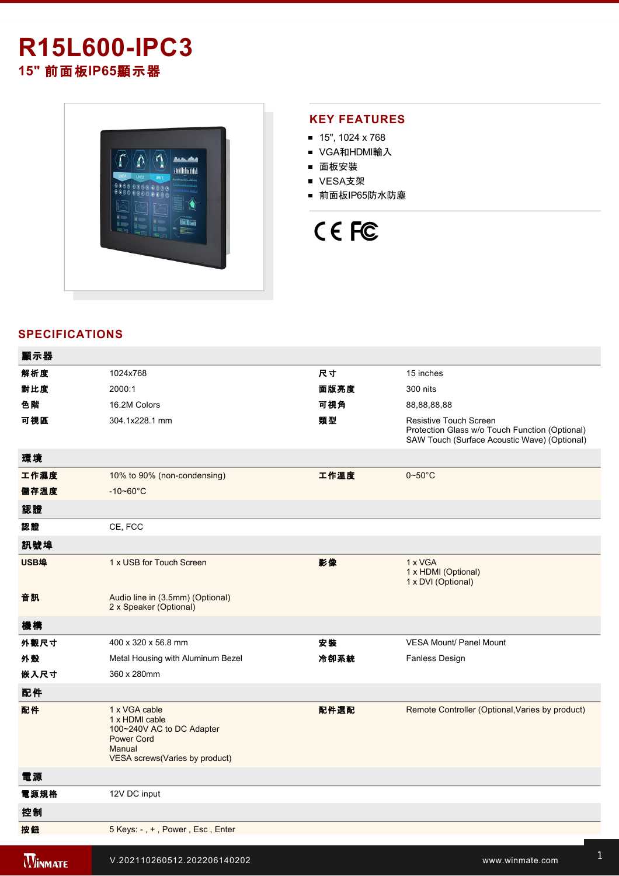## **R15L600-IPC3 15"** 前面板**IP65**顯示器



### **KEY FEATURES**

- $15$ ", 1024 x 768
- VGA和HDMI輸入
- 面板安裝
- VESA支架
- 前面板IP65防水防塵

# CE FC

### **SPECIFICATIONS**

| 顯示器            |                                                                                                                                |      |                                                                                                                          |
|----------------|--------------------------------------------------------------------------------------------------------------------------------|------|--------------------------------------------------------------------------------------------------------------------------|
| 解析度            | 1024x768                                                                                                                       | 尺寸   | 15 inches                                                                                                                |
| 對比度            | 2000:1                                                                                                                         | 面版亮度 | 300 nits                                                                                                                 |
| 色階             | 16.2M Colors                                                                                                                   | 可視角  | 88,88,88,88                                                                                                              |
| 可視區            | 304.1x228.1 mm                                                                                                                 | 類型   | Resistive Touch Screen<br>Protection Glass w/o Touch Function (Optional)<br>SAW Touch (Surface Acoustic Wave) (Optional) |
| 環境             |                                                                                                                                |      |                                                                                                                          |
| 工作濕度           | 10% to 90% (non-condensing)                                                                                                    | 工作溫度 | $0 - 50^{\circ}$ C                                                                                                       |
| 儲存溫度           | $-10 - 60^{\circ}$ C                                                                                                           |      |                                                                                                                          |
| 認證             |                                                                                                                                |      |                                                                                                                          |
| 認證             | CE, FCC                                                                                                                        |      |                                                                                                                          |
| 訊號埠            |                                                                                                                                |      |                                                                                                                          |
| USB埠           | 1 x USB for Touch Screen                                                                                                       | 影像   | 1 x VGA<br>1 x HDMI (Optional)<br>1 x DVI (Optional)                                                                     |
| 音訊             | Audio line in (3.5mm) (Optional)<br>2 x Speaker (Optional)                                                                     |      |                                                                                                                          |
| 機構             |                                                                                                                                |      |                                                                                                                          |
| 外觀尺寸           | 400 x 320 x 56.8 mm                                                                                                            | 安装   | <b>VESA Mount/ Panel Mount</b>                                                                                           |
| 外殼             | Metal Housing with Aluminum Bezel                                                                                              | 冷卻系統 | Fanless Design                                                                                                           |
| 嵌入尺寸           | 360 x 280mm                                                                                                                    |      |                                                                                                                          |
| 配件             |                                                                                                                                |      |                                                                                                                          |
| 配件             | 1 x VGA cable<br>1 x HDMI cable<br>100~240V AC to DC Adapter<br><b>Power Cord</b><br>Manual<br>VESA screws (Varies by product) | 配件選配 | Remote Controller (Optional, Varies by product)                                                                          |
| 電源             |                                                                                                                                |      |                                                                                                                          |
| 電源規格           | 12V DC input                                                                                                                   |      |                                                                                                                          |
| 控制             |                                                                                                                                |      |                                                                                                                          |
| 按鈕             | 5 Keys: -, +, Power, Esc, Enter                                                                                                |      |                                                                                                                          |
| <b>WINMATE</b> | V.202110260512.202206140202                                                                                                    |      | www.winmate.com                                                                                                          |